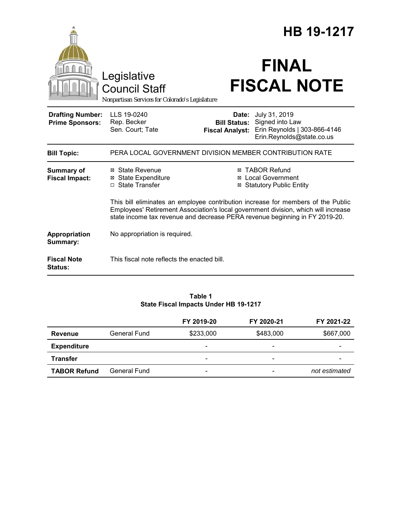|                                                   |                                                                                        |                                                        | HB 19-1217                                                                                                                                                        |
|---------------------------------------------------|----------------------------------------------------------------------------------------|--------------------------------------------------------|-------------------------------------------------------------------------------------------------------------------------------------------------------------------|
|                                                   | Legislative<br><b>Council Staff</b><br>Nonpartisan Services for Colorado's Legislature |                                                        | <b>FINAL</b><br><b>FISCAL NOTE</b>                                                                                                                                |
| <b>Drafting Number:</b><br><b>Prime Sponsors:</b> | LLS 19-0240<br>Rep. Becker<br>Sen. Court; Tate                                         | Date:<br><b>Bill Status:</b><br><b>Fiscal Analyst:</b> | July 31, 2019<br>Signed into Law<br>Erin Reynolds   303-866-4146<br>Erin.Reynolds@state.co.us                                                                     |
| <b>Bill Topic:</b>                                |                                                                                        |                                                        | PERA LOCAL GOVERNMENT DIVISION MEMBER CONTRIBUTION RATE                                                                                                           |
| <b>Summary of</b><br><b>Fiscal Impact:</b>        | ⊠ State Revenue<br>⊠ State Expenditure<br>□ State Transfer                             |                                                        | <b>⊠ TABOR Refund</b><br>⊠ Local Government<br><b>Statutory Public Entity</b><br>This bill eliminates an employee contribution increase for members of the Public |
|                                                   |                                                                                        |                                                        | Employees' Retirement Association's local government division, which will increase<br>state income tax revenue and decrease PERA revenue beginning in FY 2019-20. |
| Appropriation<br>Summary:                         | No appropriation is required.                                                          |                                                        |                                                                                                                                                                   |
| <b>Fiscal Note</b><br><b>Status:</b>              | This fiscal note reflects the enacted bill.                                            |                                                        |                                                                                                                                                                   |

#### **Table 1 State Fiscal Impacts Under HB 19-1217**

|                     |              | FY 2019-20                   | FY 2020-21 | FY 2021-22    |
|---------------------|--------------|------------------------------|------------|---------------|
| <b>Revenue</b>      | General Fund | \$233,000                    | \$483,000  | \$667,000     |
| <b>Expenditure</b>  |              | $\qquad \qquad \blacksquare$ | -          |               |
| <b>Transfer</b>     |              | -                            | -          |               |
| <b>TABOR Refund</b> | General Fund | -                            |            | not estimated |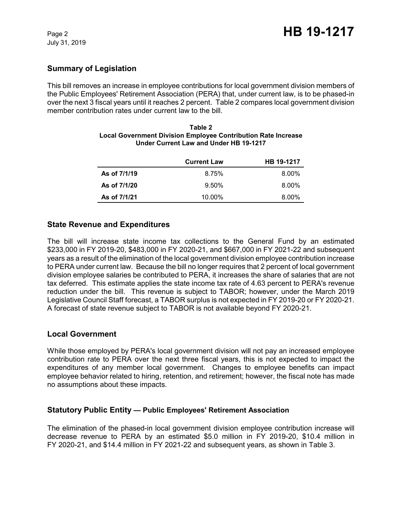# **Summary of Legislation**

This bill removes an increase in employee contributions for local government division members of the Public Employees' Retirement Association (PERA) that, under current law, is to be phased-in over the next 3 fiscal years until it reaches 2 percent. Table 2 compares local government division member contribution rates under current law to the bill.

| Table 2                                                              |  |  |
|----------------------------------------------------------------------|--|--|
| <b>Local Government Division Employee Contribution Rate Increase</b> |  |  |
| Under Current Law and Under HB 19-1217                               |  |  |

|              | <b>Current Law</b> | <b>HB 19-1217</b> |
|--------------|--------------------|-------------------|
| As of 7/1/19 | 8.75%              | $8.00\%$          |
| As of 7/1/20 | $9.50\%$           | $8.00\%$          |
| As of 7/1/21 | 10.00%             | 8.00%             |

## **State Revenue and Expenditures**

The bill will increase state income tax collections to the General Fund by an estimated \$233,000 in FY 2019-20, \$483,000 in FY 2020-21, and \$667,000 in FY 2021-22 and subsequent years as a result of the elimination of the local government division employee contribution increase to PERA under current law. Because the bill no longer requires that 2 percent of local government division employee salaries be contributed to PERA, it increases the share of salaries that are not tax deferred. This estimate applies the state income tax rate of 4.63 percent to PERA's revenue reduction under the bill. This revenue is subject to TABOR; however, under the March 2019 Legislative Council Staff forecast, a TABOR surplus is not expected in FY 2019-20 or FY 2020-21. A forecast of state revenue subject to TABOR is not available beyond FY 2020-21.

### **Local Government**

While those employed by PERA's local government division will not pay an increased employee contribution rate to PERA over the next three fiscal years, this is not expected to impact the expenditures of any member local government. Changes to employee benefits can impact employee behavior related to hiring, retention, and retirement; however, the fiscal note has made no assumptions about these impacts.

## **Statutory Public Entity — Public Employees' Retirement Association**

The elimination of the phased-in local government division employee contribution increase will decrease revenue to PERA by an estimated \$5.0 million in FY 2019-20, \$10.4 million in FY 2020-21, and \$14.4 million in FY 2021-22 and subsequent years, as shown in Table 3.